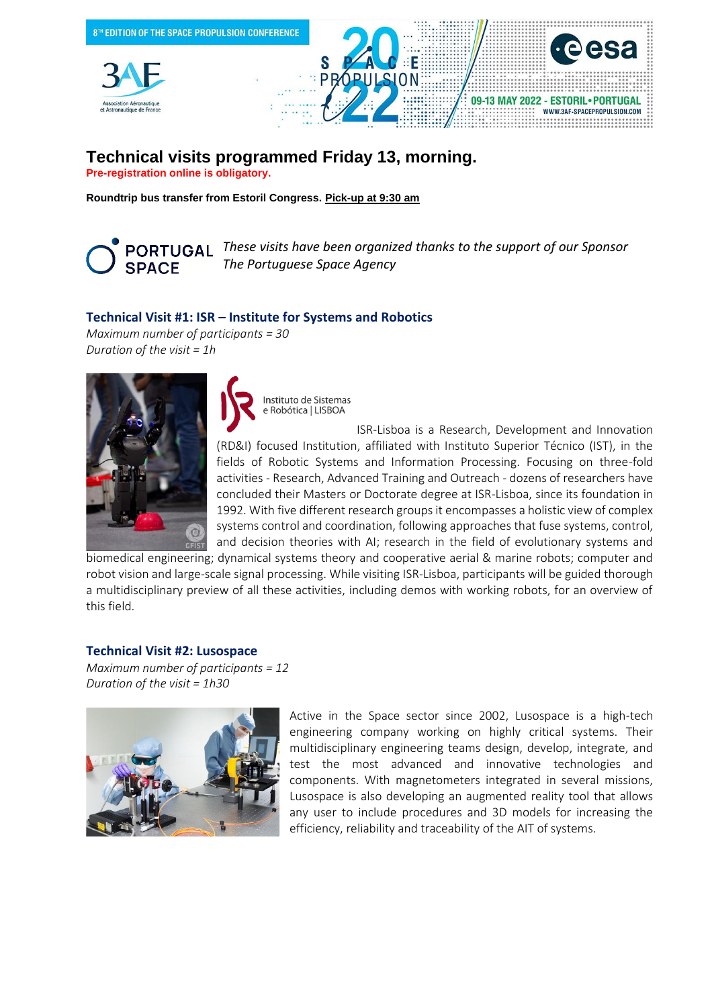

# **Technical visits programmed Friday 13, morning.**

**Pre-registration online is obligatory.**

**Roundtrip bus transfer from Estoril Congress. Pick-up at 9:30 am**

**SPACE** 

*These visits have been organized thanks to the support of our Sponsor The Portuguese Space Agency* 

## **Technical Visit #1: ISR – Institute for Systems and Robotics**

*Maximum number of participants = 30 Duration of the visit = 1h* 



Instituto de Sistemas e Robótica | LISBOA

ISR-Lisboa is a Research, Development and Innovation (RD&I) focused Institution, affiliated with Instituto Superior Técnico (IST), in the fields of Robotic Systems and Information Processing. Focusing on three-fold activities - Research, Advanced Training and Outreach - dozens of researchers have concluded their Masters or Doctorate degree at ISR-Lisboa, since its foundation in 1992. With five different research groups it encompasses a holistic view of complex systems control and coordination, following approaches that fuse systems, control, and decision theories with AI; research in the field of evolutionary systems and

biomedical engineering; dynamical systems theory and cooperative aerial & marine robots; computer and robot vision and large-scale signal processing. While visiting ISR-Lisboa, participants will be guided thorough a multidisciplinary preview of all these activities, including demos with working robots, for an overview of this field.

#### **Technical Visit #2: Lusospace**

*Maximum number of participants = 12 Duration of the visit = 1h30*



Active in the Space sector since 2002, Lusospace is a high-tech engineering company working on highly critical systems. Their multidisciplinary engineering teams design, develop, integrate, and test the most advanced and innovative technologies and components. With magnetometers integrated in several missions, Lusospace is also developing an augmented reality tool that allows any user to include procedures and 3D models for increasing the efficiency, reliability and traceability of the AIT of systems.